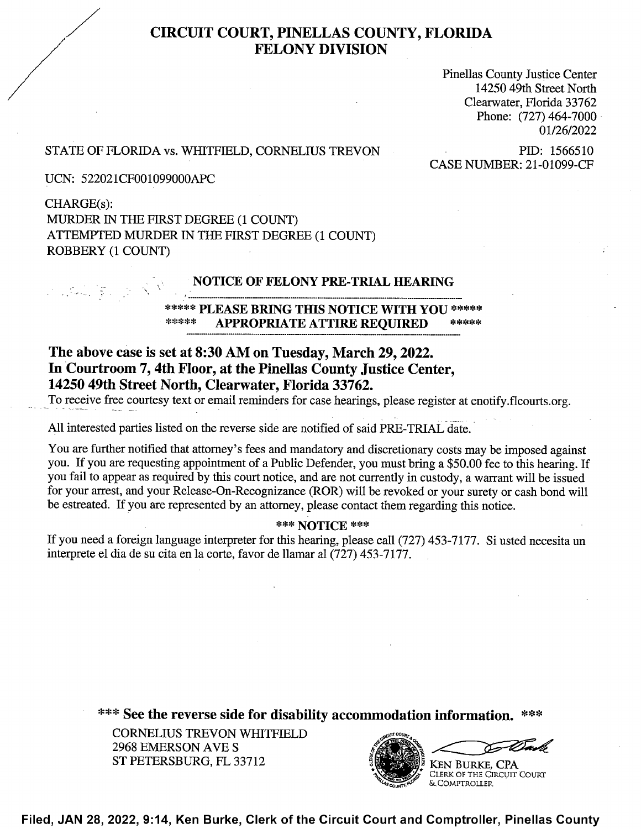# CIRCUIT COURT, PINELLAS COUNTY, FLORIDA FELONY DIVISION

Pinellas County Justice Center 14250 49th Street North Clearwater, Florida 33762 Phone: (727) 464-7000 01/26/2022

## STATE OF FLORIDA vs. WHITFIELD, CORNELIUS TREVON PID: 1566510

' CASE NUMBER: 21-01099-CF

UCN: 522021CF001099000APC

CHARGE(s): MURDER IN THE FIRST DEGREE (1 COUNT) ATTEMPTED MURDER IN THE FIRST DEGREE (1 COUNT) ROBBERY (1 COUNT)

#### ' NOTICE OF FELONY PRE-TRIAL HEARING

### \*\*\*.\*\* PLEASE BRING THIS NOTICE WITH YOU \*\*\*\*\* APPROPRIATE ATTIRE REQUIRED

# The above case is set at 8:30 AM 0n Tuesday, March 29, 2022. In Courtroom 7, 4th Floor, at the Pinellas County Justice Center, 14250 49th Street North, Clearwater, Florida 33762.

To receive free courtesy text or email reminders for case hearings, please register at enotify.flcourts. org.

A11 interested parties listed on the reverse side are notified of said PRE-TRIAL date.

You are fufiher notified that attorney's fees and mandatory and discretionary costs may be imposed against you. If you are requesting appointment of a Public Defender, you must bring a \$50.00 fee to this hearing. If you fail to appear as required by this court notice, and are not currently in custody, a warrant will be issued for your arrest, and your Release-On-Recognizanoe (ROR) will be revoked or your surety or cash bond will be estreated. If you are represented by an attorney, please contact them regarding this notice.

#### \*\*\* NOTICE \*\*\*

If you need a foreign language interpreter for this hearing, please call (727) 453-7177. Si usted necesita un interprete el dia de su cita en la corte, favor de llamar al (727) 453-7177.

\*\*\* See the reverse side for disability accommodation information. \*\*\*

CORNELIUS TREVON WHITFIELD 2968 EMERSON AVE S ST PETERSBURG, FL 33712



Filed, JAN 28, 2022, 9:14, Ken Burke, Clerk of the Circuit Court and Comptroller, Pinellas County